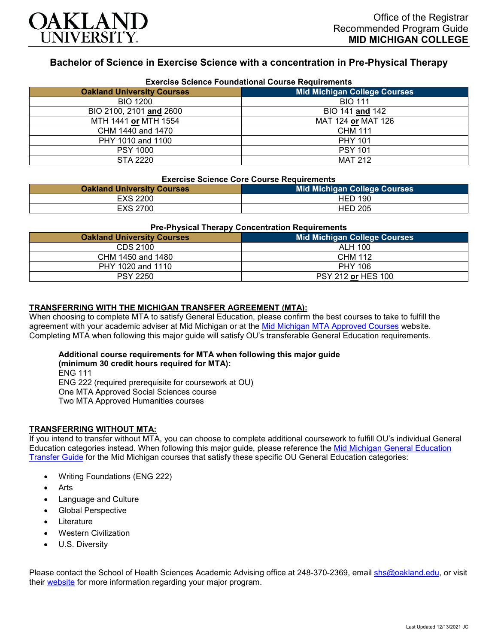

# **Bachelor of Science in Exercise Science with a concentration in Pre-Physical Therapy**

| <b>Exercise Science Foundational Course Requirements</b> |                                     |  |
|----------------------------------------------------------|-------------------------------------|--|
| <b>Oakland University Courses</b>                        | <b>Mid Michigan College Courses</b> |  |
| <b>BIO 1200</b>                                          | <b>BIO 111</b>                      |  |
| BIO 2100, 2101 and 2600                                  | BIO 141 and 142                     |  |
| MTH 1441 or MTH 1554                                     | MAT 124 or MAT 126                  |  |
| CHM 1440 and 1470                                        | <b>CHM 111</b>                      |  |
| PHY 1010 and 1100                                        | <b>PHY 101</b>                      |  |
| <b>PSY 1000</b>                                          | <b>PSY 101</b>                      |  |
| STA 2220                                                 | <b>MAT 212</b>                      |  |

#### **Exercise Science Core Course Requirements**

| <b>Oakland University Courses</b> | <b>Mid Michigan College Courses</b> |
|-----------------------------------|-------------------------------------|
| <b>EXS 2200</b>                   | <b>HED 190</b>                      |
| EXS 2700                          | <b>HED 205</b>                      |

#### **Pre-Physical Therapy Concentration Requirements**

| <b>Oakland University Courses</b> | <b>Mid Michigan College Courses</b> |
|-----------------------------------|-------------------------------------|
| CDS 2100                          | ALH 100                             |
| CHM 1450 and 1480                 | CHM 112                             |
| PHY 1020 and 1110                 | <b>PHY 106</b>                      |
| <b>PSY 2250</b>                   | PSY 212 or HES 100                  |

#### **TRANSFERRING WITH THE MICHIGAN TRANSFER AGREEMENT (MTA):**

When choosing to complete MTA to satisfy General Education, please confirm the best courses to take to fulfill the agreement with your academic adviser at Mid Michigan or at the [Mid Michigan MTA Approved Courses](https://www.midmich.edu/academics/transfer/mta) website. Completing MTA when following this major guide will satisfy OU's transferable General Education requirements.

#### **Additional course requirements for MTA when following this major guide (minimum 30 credit hours required for MTA):**

ENG 111 ENG 222 (required prerequisite for coursework at OU) One MTA Approved Social Sciences course Two MTA Approved Humanities courses

### **TRANSFERRING WITHOUT MTA:**

If you intend to transfer without MTA, you can choose to complete additional coursework to fulfill OU's individual General Education categories instead. When following this major guide, please reference the [Mid Michigan General Education](https://www.oakland.edu/Assets/Oakland/program-guides/mid-michigan-community-college/university-general-education-requirements/Mid%20Michigan%20Gen%20Ed.pdf)  [Transfer Guide](https://www.oakland.edu/Assets/Oakland/program-guides/mid-michigan-community-college/university-general-education-requirements/Mid%20Michigan%20Gen%20Ed.pdf) for the Mid Michigan courses that satisfy these specific OU General Education categories:

- Writing Foundations (ENG 222)
- **Arts**
- Language and Culture
- Global Perspective
- **Literature**
- Western Civilization
- U.S. Diversity

Please contact the School of Health Sciences Academic Advising office at 248-370-2369, email [shs@oakland.edu,](mailto:shs@oakland.edu) or visit their [website](http://www.oakland.edu/shs/advising) for more information regarding your major program.